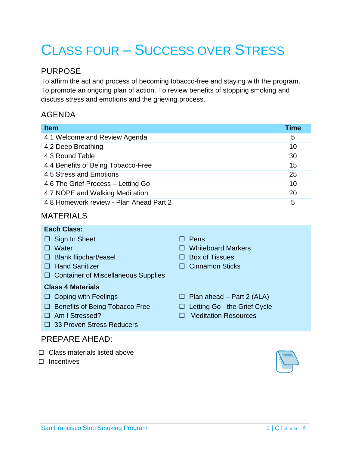# CLASS FOUR – SUCCESS OVER STRESS

# PURPOSE

To affirm the act and process of becoming tobacco-free and staying with the program. To promote an ongoing plan of action. To review benefits of stopping smoking and discuss stress and emotions and the grieving process.

# AGENDA

| <b>Item</b>                             | Time |
|-----------------------------------------|------|
| 4.1 Welcome and Review Agenda           | 5    |
| 4.2 Deep Breathing                      | 10   |
| 4.3 Round Table                         | 30   |
| 4.4 Benefits of Being Tobacco-Free      | 15   |
| 4.5 Stress and Emotions                 | 25   |
| 4.6 The Grief Process - Letting Go      | 10   |
| 4.7 NOPE and Walking Meditation         | 20   |
| 4.8 Homework review - Plan Ahead Part 2 | 5    |

# MATERIALS

# **Each Class:**

- $\Box$  Sign In Sheet  $\Box$  Pens
- 
- $\Box$  Blank flipchart/easel  $\Box$  Box of Tissues
- 
- □ Container of Miscellaneous Supplies

# **Class 4 Materials**

- 
- $\Box$  Benefits of Being Tobacco Free  $\Box$  Letting Go the Grief Cycle
- 
- □ 33 Proven Stress Reducers

# PREPARE AHEAD:

- $\Box$  Class materials listed above
- $\square$  Incentives
- 
- □ Water **Discrete Strategie Whiteboard Markers** 
	-
- □ Hand Sanitizer Cinnamon Sticks
- $\Box$  Coping with Feelings  $\Box$  Plan ahead Part 2 (ALA)
	-
- □ Am I Stressed? Meditation Resources

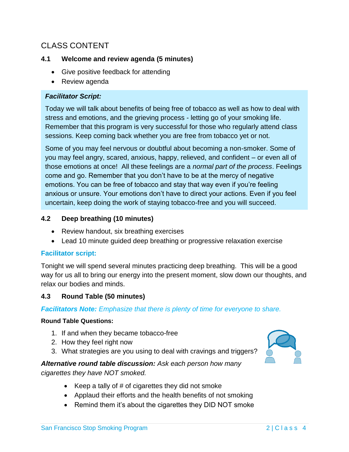# CLASS CONTENT

## **4.1 Welcome and review agenda (5 minutes)**

- Give positive feedback for attending
- Review agenda

#### *Facilitator Script:*

Today we will talk about benefits of being free of tobacco as well as how to deal with stress and emotions, and the grieving process - letting go of your smoking life. Remember that this program is very successful for those who regularly attend class sessions. Keep coming back whether you are free from tobacco yet or not.

Some of you may feel nervous or doubtful about becoming a non-smoker. Some of you may feel angry, scared, anxious, happy, relieved, and confident – or even all of those emotions at once! All these feelings are a *normal part of the process*. Feelings come and go. Remember that you don't have to be at the mercy of negative emotions. You can be free of tobacco and stay that way even if you're feeling anxious or unsure. Your emotions don't have to direct your actions. Even if you feel uncertain, keep doing the work of staying tobacco-free and you will succeed.

### **4.2 Deep breathing (10 minutes)**

- Review handout, six breathing exercises
- Lead 10 minute guided deep breathing or progressive relaxation exercise

# **Facilitator script:**

Tonight we will spend several minutes practicing deep breathing. This will be a good way for us all to bring our energy into the present moment, slow down our thoughts, and relax our bodies and minds.

#### **4.3 Round Table (50 minutes)**

#### *Facilitators Note: Emphasize that there is plenty of time for everyone to share.*

#### **Round Table Questions:**

- 1. If and when they became tobacco-free
- 2. How they feel right now
- 3. What strategies are you using to deal with cravings and triggers?

## *Alternative round table discussion: Ask each person how many cigarettes they have NOT smoked.*

- EXEP A tally of  $#$  of cigarettes they did not smoke
- Applaud their efforts and the health benefits of not smoking
- Remind them it's about the cigarettes they DID NOT smoke

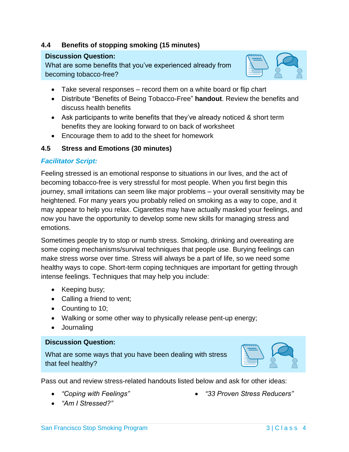# **4.4 Benefits of stopping smoking (15 minutes)**

#### **Discussion Question:**

What are some benefits that you've experienced already from becoming tobacco-free?



- Take several responses record them on a white board or flip chart
- Distribute "Benefits of Being Tobacco-Free" **handout**. Review the benefits and discuss health benefits
- Ask participants to write benefits that they've already noticed & short term benefits they are looking forward to on back of worksheet
- Encourage them to add to the sheet for homework

# **4.5 Stress and Emotions (30 minutes)**

### *Facilitator Script:*

Feeling stressed is an emotional response to situations in our lives, and the act of becoming tobacco-free is very stressful for most people. When you first begin this journey, small irritations can seem like major problems – your overall sensitivity may be heightened. For many years you probably relied on smoking as a way to cope, and it may appear to help you relax. Cigarettes may have actually masked your feelings, and now you have the opportunity to develop some new skills for managing stress and emotions.

Sometimes people try to stop or numb stress. Smoking, drinking and overeating are some coping mechanisms/survival techniques that people use. Burying feelings can make stress worse over time. Stress will always be a part of life, so we need some healthy ways to cope. Short-term coping techniques are important for getting through intense feelings. Techniques that may help you include:

- Keeping busy;
- Calling a friend to vent;
- Counting to 10;
- Walking or some other way to physically release pent-up energy;
- Journaling

#### **Discussion Question:**

What are some ways that you have been dealing with stress that feel healthy?



Pass out and review stress-related handouts listed below and ask for other ideas:

*"Coping with Feelings"*

*"33 Proven Stress Reducers"*

*"Am I Stressed?"*